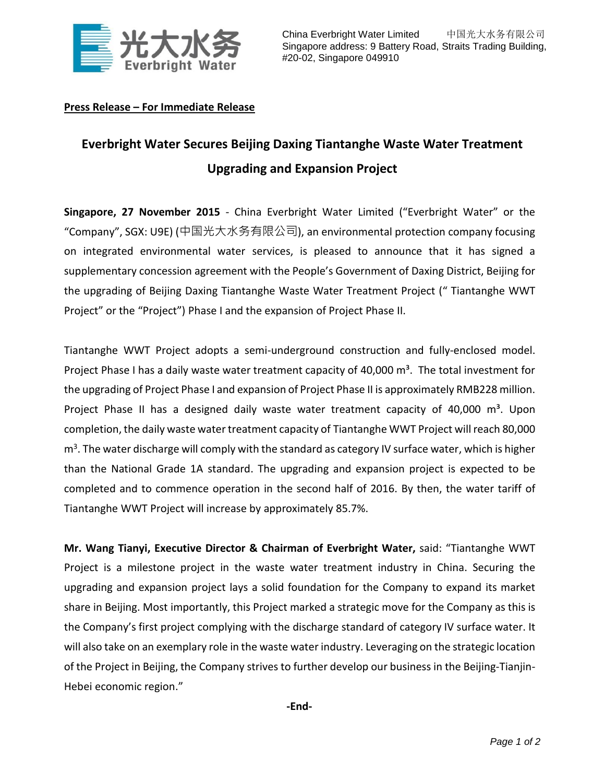

## **Press Release – For Immediate Release**

## **Everbright Water Secures Beijing Daxing Tiantanghe Waste Water Treatment Upgrading and Expansion Project**

**Singapore, 27 November 2015** - China Everbright Water Limited ("Everbright Water" or the "Company", SGX: U9E) (中国光大水务有限公司), an environmental protection company focusing on integrated environmental water services, is pleased to announce that it has signed a supplementary concession agreement with the People's Government of Daxing District, Beijing for the upgrading of Beijing Daxing Tiantanghe Waste Water Treatment Project (" Tiantanghe WWT Project" or the "Project") Phase I and the expansion of Project Phase II.

Tiantanghe WWT Project adopts a semi-underground construction and fully-enclosed model. Project Phase I has a daily waste water treatment capacity of 40,000 m<sup>3</sup>. The total investment for the upgrading of Project Phase I and expansion of Project Phase II is approximately RMB228 million. Project Phase II has a designed daily waste water treatment capacity of  $40,000 \text{ m}^3$ . Upon completion, the daily waste water treatment capacity of Tiantanghe WWT Project will reach 80,000 m<sup>3</sup>. The water discharge will comply with the standard as category IV surface water, which is higher than the National Grade 1A standard. The upgrading and expansion project is expected to be completed and to commence operation in the second half of 2016. By then, the water tariff of Tiantanghe WWT Project will increase by approximately 85.7%.

**Mr. Wang Tianyi, Executive Director & Chairman of Everbright Water,** said: "Tiantanghe WWT Project is a milestone project in the waste water treatment industry in China. Securing the upgrading and expansion project lays a solid foundation for the Company to expand its market share in Beijing. Most importantly, this Project marked a strategic move for the Company as this is the Company's first project complying with the discharge standard of category IV surface water. It will also take on an exemplary role in the waste water industry. Leveraging on the strategic location of the Project in Beijing, the Company strives to further develop our business in the Beijing-Tianjin-Hebei economic region."